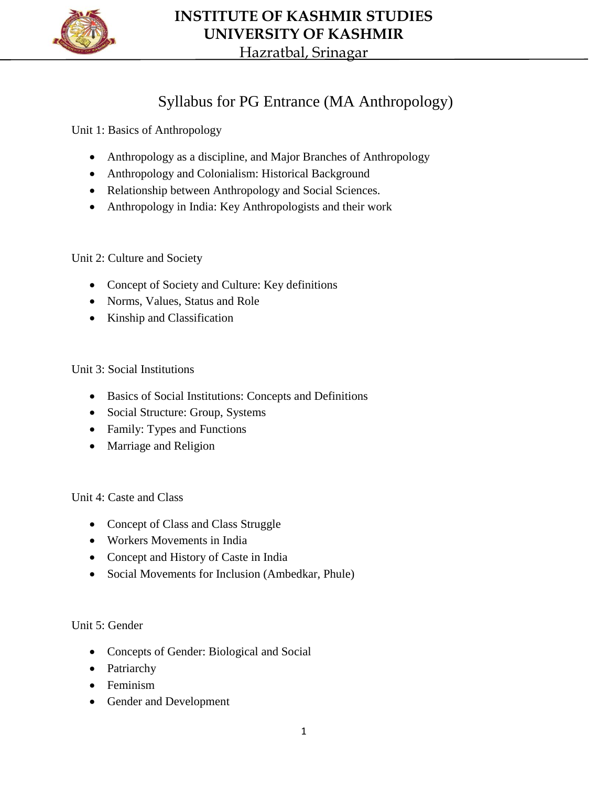

## **INSTITUTE OF KASHMIR STUDIES UNIVERSITY OF KASHMIR**

Hazratbal, Srinagar

## Syllabus for PG Entrance (MA Anthropology)

Unit 1: Basics of Anthropology

- Anthropology as a discipline, and Major Branches of Anthropology
- Anthropology and Colonialism: Historical Background
- Relationship between Anthropology and Social Sciences.
- Anthropology in India: Key Anthropologists and their work

Unit 2: Culture and Society

- Concept of Society and Culture: Key definitions
- Norms, Values, Status and Role
- Kinship and Classification

Unit 3: Social Institutions

- Basics of Social Institutions: Concepts and Definitions
- Social Structure: Group, Systems
- Family: Types and Functions
- Marriage and Religion

Unit 4: Caste and Class

- Concept of Class and Class Struggle
- Workers Movements in India
- Concept and History of Caste in India
- Social Movements for Inclusion (Ambedkar, Phule)

Unit 5: Gender

- Concepts of Gender: Biological and Social
- Patriarchy
- Feminism
- Gender and Development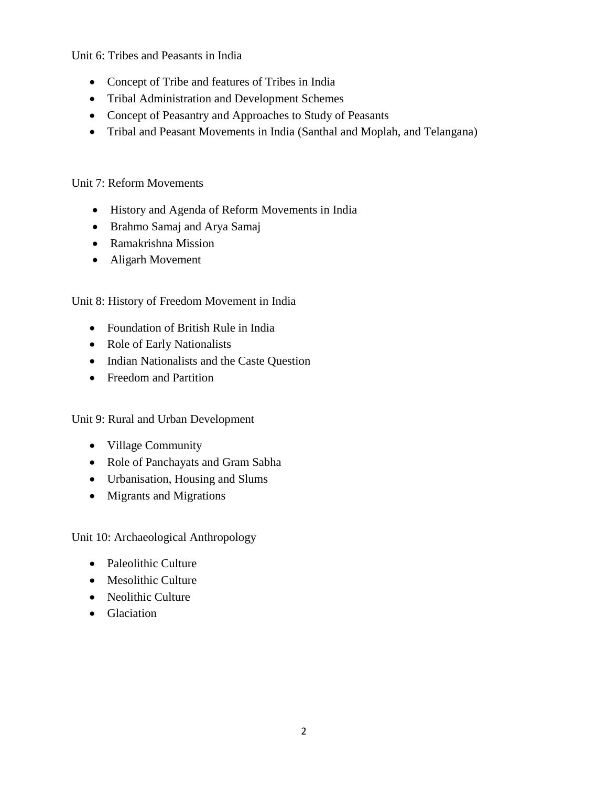Unit 6: Tribes and Peasants in India

- Concept of Tribe and features of Tribes in India
- Tribal Administration and Development Schemes
- Concept of Peasantry and Approaches to Study of Peasants
- Tribal and Peasant Movements in India (Santhal and Moplah, and Telangana)

## Unit 7: Reform Movements

- History and Agenda of Reform Movements in India
- Brahmo Samaj and Arya Samaj
- Ramakrishna Mission
- Aligarh Movement

## Unit 8: History of Freedom Movement in India

- Foundation of British Rule in India
- Role of Early Nationalists
- Indian Nationalists and the Caste Question
- Freedom and Partition

Unit 9: Rural and Urban Development

- Village Community
- Role of Panchayats and Gram Sabha
- Urbanisation, Housing and Slums
- Migrants and Migrations

Unit 10: Archaeological Anthropology

- Paleolithic Culture
- Mesolithic Culture
- Neolithic Culture
- Glaciation